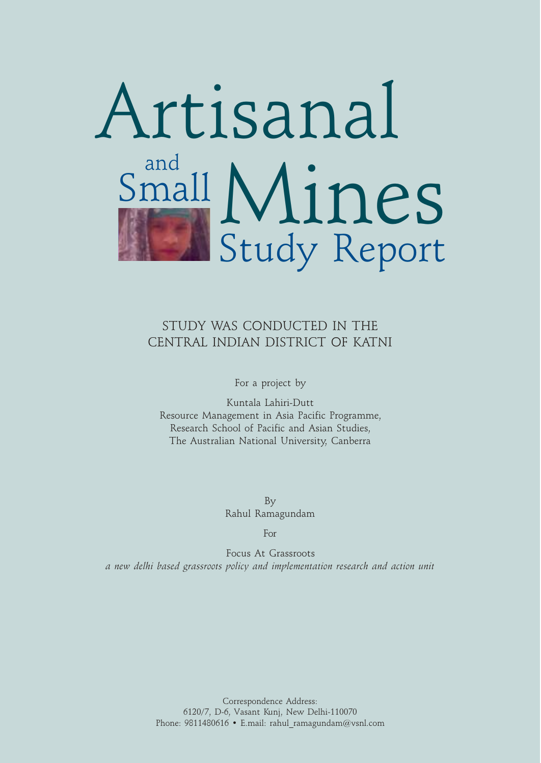

### STUDY WAS CONDUCTED IN THE CENTRAL INDIAN DISTRICT OF KATNI

For a project by

Kuntala Lahiri-Dutt Resource Management in Asia Pacific Programme, Research School of Pacific and Asian Studies, The Australian National University, Canberra

> By Rahul Ramagundam

> > For

Focus At Grassroots *a new delhi based grassroots policy and implementation research and action unit*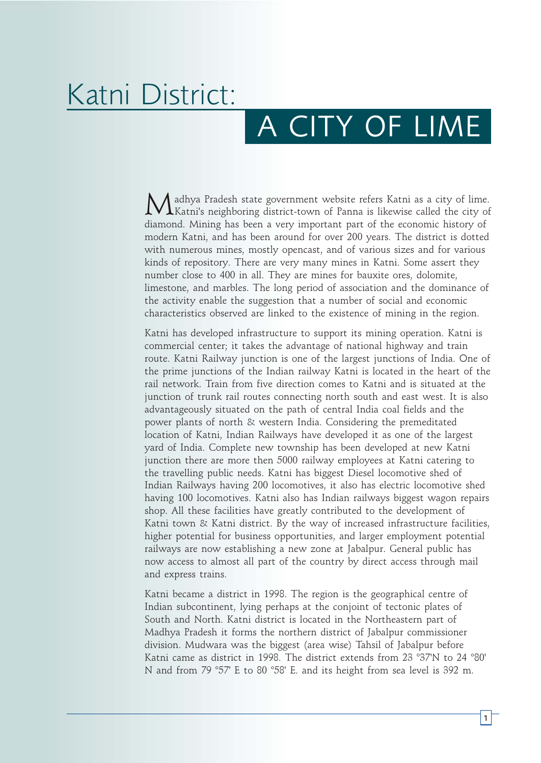# Katni District:

## A CITY OF LIME

adhya Pradesh state government website refers Katni as a city of lime. Katni's neighboring district-town of Panna is likewise called the city of diamond. Mining has been a very important part of the economic history of modern Katni, and has been around for over 200 years. The district is dotted with numerous mines, mostly opencast, and of various sizes and for various kinds of repository. There are very many mines in Katni. Some assert they number close to 400 in all. They are mines for bauxite ores, dolomite, limestone, and marbles. The long period of association and the dominance of the activity enable the suggestion that a number of social and economic characteristics observed are linked to the existence of mining in the region.

Katni has developed infrastructure to support its mining operation. Katni is commercial center; it takes the advantage of national highway and train route. Katni Railway junction is one of the largest junctions of India. One of the prime junctions of the Indian railway Katni is located in the heart of the rail network. Train from five direction comes to Katni and is situated at the junction of trunk rail routes connecting north south and east west. It is also advantageously situated on the path of central India coal fields and the power plants of north & western India. Considering the premeditated location of Katni, Indian Railways have developed it as one of the largest yard of India. Complete new township has been developed at new Katni junction there are more then 5000 railway employees at Katni catering to the travelling public needs. Katni has biggest Diesel locomotive shed of Indian Railways having 200 locomotives, it also has electric locomotive shed having 100 locomotives. Katni also has Indian railways biggest wagon repairs shop. All these facilities have greatly contributed to the development of Katni town & Katni district. By the way of increased infrastructure facilities, higher potential for business opportunities, and larger employment potential railways are now establishing a new zone at Jabalpur. General public has now access to almost all part of the country by direct access through mail and express trains.

Katni became a district in 1998. The region is the geographical centre of Indian subcontinent, lying perhaps at the conjoint of tectonic plates of South and North. Katni district is located in the Northeastern part of Madhya Pradesh it forms the northern district of Jabalpur commissioner division. Mudwara was the biggest (area wise) Tahsil of Jabalpur before Katni came as district in 1998. The district extends from 23 °37'N to 24 °80' N and from 79 °57' E to 80 °58' E. and its height from sea level is 392 m.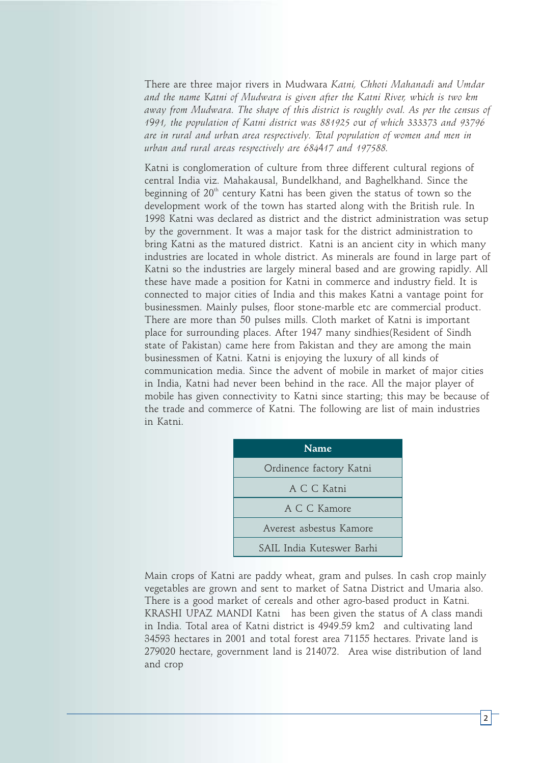There are three major rivers in Mudwara *Katni, Chhoti Mahanadi* a*nd Umdar and the name* K*atni of Mudwara is given after the Katni River, w*h*ich is two km away from Mudwara. The shape of thi*s *district is roughly oval. As per the census of 1*9*91, the population of Katni district was 881925 o*u*t of which 333373 and 93796 are in rural and urba*n *area respectively. Total population of women and men in urban and rural areas respectively are 684*4*17 and 197588.* 

Katni is conglomeration of culture from three different cultural regions of central India viz. Mahakausal, Bundelkhand, and Baghelkhand. Since the beginning of  $20<sup>th</sup>$  century Katni has been given the status of town so the development work of the town has started along with the British rule. In 1998 Katni was declared as district and the district administration was setup by the government. It was a major task for the district administration to bring Katni as the matured district. Katni is an ancient city in which many industries are located in whole district. As minerals are found in large part of Katni so the industries are largely mineral based and are growing rapidly. All these have made a position for Katni in commerce and industry field. It is connected to major cities of India and this makes Katni a vantage point for businessmen. Mainly pulses, floor stone-marble etc are commercial product. There are more than 50 pulses mills. Cloth market of Katni is important place for surrounding places. After 1947 many sindhies(Resident of Sindh state of Pakistan) came here from Pakistan and they are among the main businessmen of Katni. Katni is enjoying the luxury of all kinds of communication media. Since the advent of mobile in market of major cities in India, Katni had never been behind in the race. All the major player of mobile has given connectivity to Katni since starting; this may be because of the trade and commerce of Katni. The following are list of main industries in Katni.

| <b>Name</b>               |  |  |
|---------------------------|--|--|
| Ordinence factory Katni   |  |  |
| A C C Katni               |  |  |
| A C.C. Kamore             |  |  |
| Averest asbestus Kamore   |  |  |
| SAIL India Kuteswer Barhi |  |  |

Main crops of Katni are paddy wheat, gram and pulses. In cash crop mainly vegetables are grown and sent to market of Satna District and Umaria also. There is a good market of cereals and other agro-based product in Katni. KRASHI UPAZ MANDI Katni has been given the status of A class mandi in India. Total area of Katni district is 4949.59 km2 and cultivating land 34593 hectares in 2001 and total forest area 71155 hectares. Private land is 279020 hectare, government land is 214072. Area wise distribution of land and crop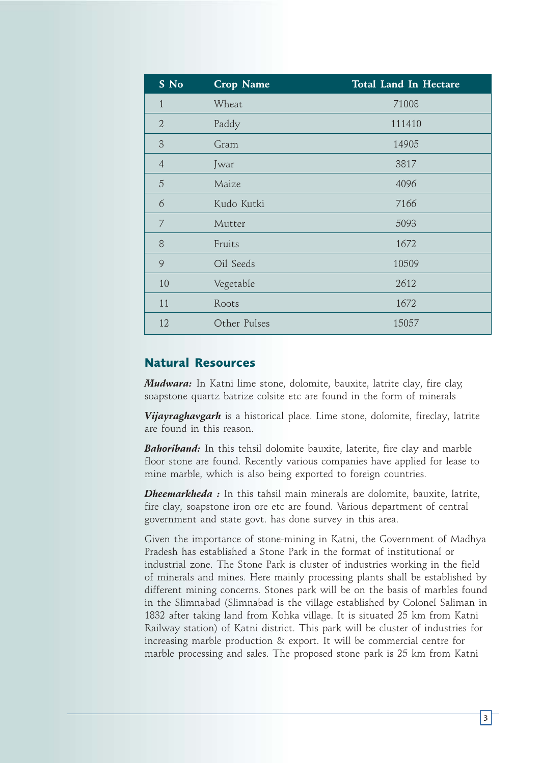| S No           | <b>Crop Name</b> | <b>Total Land In Hectare</b> |
|----------------|------------------|------------------------------|
| $\mathbf{1}$   | Wheat            | 71008                        |
| $\overline{2}$ | Paddy            | 111410                       |
| 3              | Gram             | 14905                        |
| $\overline{4}$ | Jwar             | 3817                         |
| 5              | Maize            | 4096                         |
| 6              | Kudo Kutki       | 7166                         |
| 7              | Mutter           | 5093                         |
| 8              | Fruits           | 1672                         |
| 9              | Oil Seeds        | 10509                        |
| 10             | Vegetable        | 2612                         |
| 11             | Roots            | 1672                         |
| 12             | Other Pulses     | 15057                        |

#### **Natural Resources**

*Mudwara:* In Katni lime stone, dolomite, bauxite, latrite clay, fire clay, soapstone quartz batrize colsite etc are found in the form of minerals

*Vijayraghavgarh* is a historical place. Lime stone, dolomite, fireclay, latrite are found in this reason.

*Bahoriband:* In this tehsil dolomite bauxite, laterite, fire clay and marble floor stone are found. Recently various companies have applied for lease to mine marble, which is also being exported to foreign countries.

*Dheemarkheda :* In this tahsil main minerals are dolomite, bauxite, latrite, fire clay, soapstone iron ore etc are found. Various department of central government and state govt. has done survey in this area.

Given the importance of stone-mining in Katni, the Government of Madhya Pradesh has established a Stone Park in the format of institutional or industrial zone. The Stone Park is cluster of industries working in the field of minerals and mines. Here mainly processing plants shall be established by different mining concerns. Stones park will be on the basis of marbles found in the Slimnabad (Slimnabad is the village established by Colonel Saliman in 1832 after taking land from Kohka village. It is situated 25 km from Katni Railway station) of Katni district. This park will be cluster of industries for increasing marble production & export. It will be commercial centre for marble processing and sales. The proposed stone park is 25 km from Katni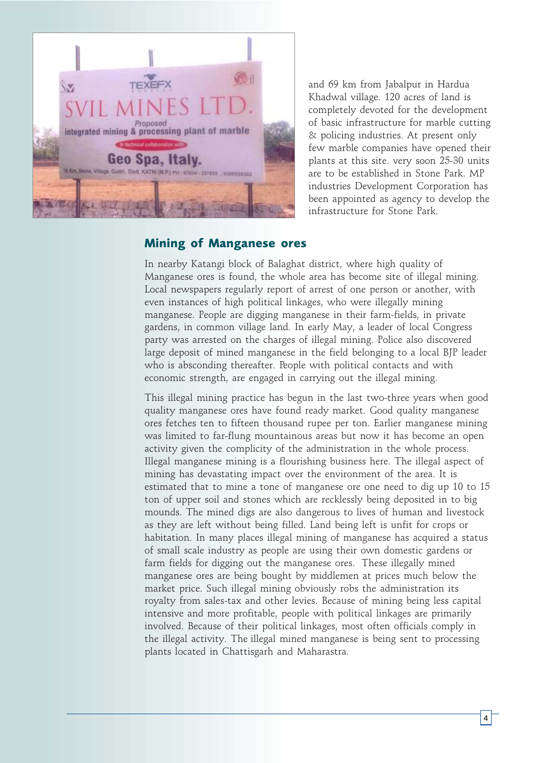

and 69 km from Jabalpur in Hardua Khadwal village. 120 acres of land is completely devoted for the development of basic infrastructure for marble cutting & policing industries. At present only few marble companies have opened their plants at this site. very soon 25-30 units are to be established in Stone Park. MP industries Development Corporation has been appointed as agency to develop the infrastructure for Stone Park.

#### **Mining of Manganese ores**

In nearby Katangi block of Balaghat district, where high quality of Manganese ores is found, the whole area has become site of illegal mining. Local newspapers regularly report of arrest of one person or another, with even instances of high political linkages, who were illegally mining manganese. People are digging manganese in their farm-fields, in private gardens, in common village land. In early May, a leader of local Congress party was arrested on the charges of illegal mining. Police also discovered large deposit of mined manganese in the field belonging to a local BJP leader who is absconding thereafter. People with political contacts and with economic strength, are engaged in carrying out the illegal mining.

This illegal mining practice has begun in the last two-three years when good quality manganese ores have found ready market. Good quality manganese ores fetches ten to fifteen thousand rupee per ton. Earlier manganese mining was limited to far-flung mountainous areas but now it has become an open activity given the complicity of the administration in the whole process. Illegal manganese mining is a flourishing business here. The illegal aspect of mining has devastating impact over the environment of the area. It is estimated that to mine a tone of manganese ore one need to dig up 10 to 15 ton of upper soil and stones which are recklessly being deposited in to big mounds. The mined digs are also dangerous to lives of human and livestock as they are left without being filled. Land being left is unfit for crops or habitation. In many places illegal mining of manganese has acquired a status of small scale industry as people are using their own domestic gardens or farm fields for digging out the manganese ores. These illegally mined manganese ores are being bought by middlemen at prices much below the market price. Such illegal mining obviously robs the administration its royalty from sales-tax and other levies. Because of mining being less capital intensive and more profitable, people with political linkages are primarily involved. Because of their political linkages, most often officials comply in the illegal activity. The illegal mined manganese is being sent to processing plants located in Chattisgarh and Maharastra.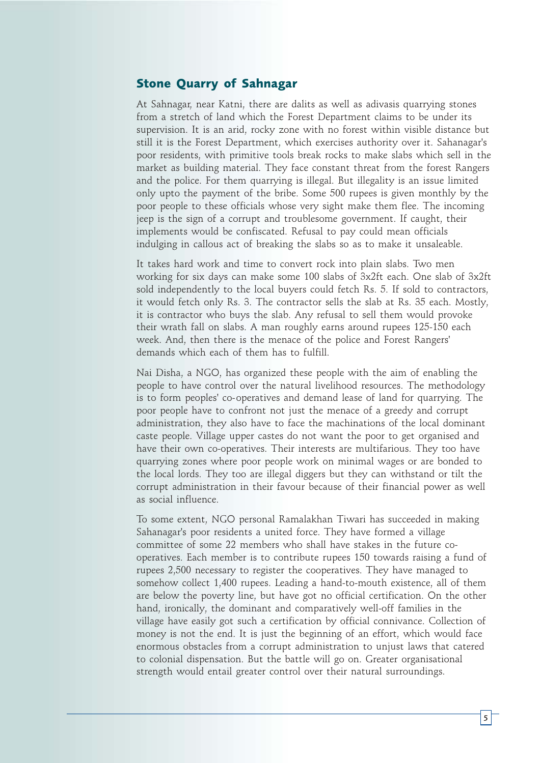#### **Stone Quarry of Sahnagar**

At Sahnagar, near Katni, there are dalits as well as adivasis quarrying stones from a stretch of land which the Forest Department claims to be under its supervision. It is an arid, rocky zone with no forest within visible distance but still it is the Forest Department, which exercises authority over it. Sahanagar's poor residents, with primitive tools break rocks to make slabs which sell in the market as building material. They face constant threat from the forest Rangers and the police. For them quarrying is illegal. But illegality is an issue limited only upto the payment of the bribe. Some 500 rupees is given monthly by the poor people to these officials whose very sight make them flee. The incoming jeep is the sign of a corrupt and troublesome government. If caught, their implements would be confiscated. Refusal to pay could mean officials indulging in callous act of breaking the slabs so as to make it unsaleable.

It takes hard work and time to convert rock into plain slabs. Two men working for six days can make some 100 slabs of 3x2ft each. One slab of 3x2ft sold independently to the local buyers could fetch Rs. 5. If sold to contractors, it would fetch only Rs. 3. The contractor sells the slab at Rs. 35 each. Mostly, it is contractor who buys the slab. Any refusal to sell them would provoke their wrath fall on slabs. A man roughly earns around rupees 125-150 each week. And, then there is the menace of the police and Forest Rangers' demands which each of them has to fulfill.

Nai Disha, a NGO, has organized these people with the aim of enabling the people to have control over the natural livelihood resources. The methodology is to form peoples' co-operatives and demand lease of land for quarrying. The poor people have to confront not just the menace of a greedy and corrupt administration, they also have to face the machinations of the local dominant caste people. Village upper castes do not want the poor to get organised and have their own co-operatives. Their interests are multifarious. They too have quarrying zones where poor people work on minimal wages or are bonded to the local lords. They too are illegal diggers but they can withstand or tilt the corrupt administration in their favour because of their financial power as well as social influence.

To some extent, NGO personal Ramalakhan Tiwari has succeeded in making Sahanagar's poor residents a united force. They have formed a village committee of some 22 members who shall have stakes in the future cooperatives. Each member is to contribute rupees 150 towards raising a fund of rupees 2,500 necessary to register the cooperatives. They have managed to somehow collect 1,400 rupees. Leading a hand-to-mouth existence, all of them are below the poverty line, but have got no official certification. On the other hand, ironically, the dominant and comparatively well-off families in the village have easily got such a certification by official connivance. Collection of money is not the end. It is just the beginning of an effort, which would face enormous obstacles from a corrupt administration to unjust laws that catered to colonial dispensation. But the battle will go on. Greater organisational strength would entail greater control over their natural surroundings.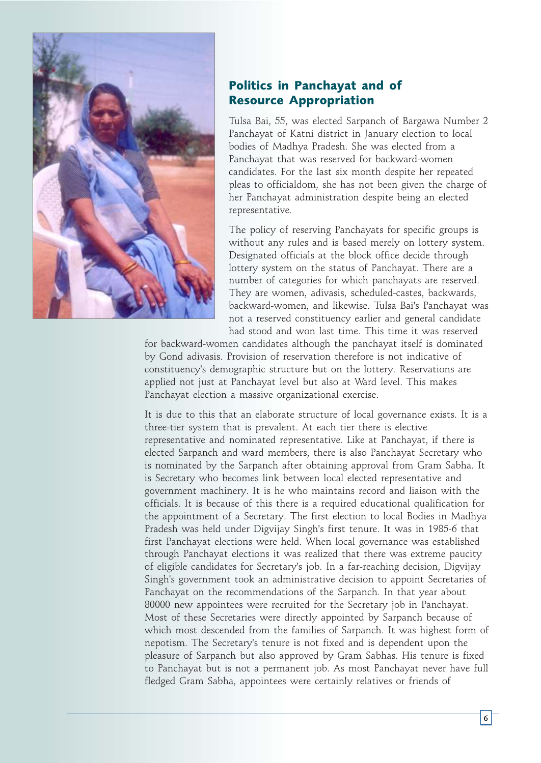

#### **Politics in Panchayat and of Resource Appropriation**

Tulsa Bai, 55, was elected Sarpanch of Bargawa Number 2 Panchayat of Katni district in January election to local bodies of Madhya Pradesh. She was elected from a Panchayat that was reserved for backward-women candidates. For the last six month despite her repeated pleas to officialdom, she has not been given the charge of her Panchayat administration despite being an elected representative.

The policy of reserving Panchayats for specific groups is without any rules and is based merely on lottery system. Designated officials at the block office decide through lottery system on the status of Panchayat. There are a number of categories for which panchayats are reserved. They are women, adivasis, scheduled-castes, backwards, backward-women, and likewise. Tulsa Bai's Panchayat was not a reserved constituency earlier and general candidate had stood and won last time. This time it was reserved

for backward-women candidates although the panchayat itself is dominated by Gond adivasis. Provision of reservation therefore is not indicative of constituency's demographic structure but on the lottery. Reservations are applied not just at Panchayat level but also at Ward level. This makes Panchayat election a massive organizational exercise.

It is due to this that an elaborate structure of local governance exists. It is a three-tier system that is prevalent. At each tier there is elective representative and nominated representative. Like at Panchayat, if there is elected Sarpanch and ward members, there is also Panchayat Secretary who is nominated by the Sarpanch after obtaining approval from Gram Sabha. It is Secretary who becomes link between local elected representative and government machinery. It is he who maintains record and liaison with the officials. It is because of this there is a required educational qualification for the appointment of a Secretary. The first election to local Bodies in Madhya Pradesh was held under Digvijay Singh's first tenure. It was in 1985-6 that first Panchayat elections were held. When local governance was established through Panchayat elections it was realized that there was extreme paucity of eligible candidates for Secretary's job. In a far-reaching decision, Digvijay Singh's government took an administrative decision to appoint Secretaries of Panchayat on the recommendations of the Sarpanch. In that year about 80000 new appointees were recruited for the Secretary job in Panchayat. Most of these Secretaries were directly appointed by Sarpanch because of which most descended from the families of Sarpanch. It was highest form of nepotism. The Secretary's tenure is not fixed and is dependent upon the pleasure of Sarpanch but also approved by Gram Sabhas. His tenure is fixed to Panchayat but is not a permanent job. As most Panchayat never have full fledged Gram Sabha, appointees were certainly relatives or friends of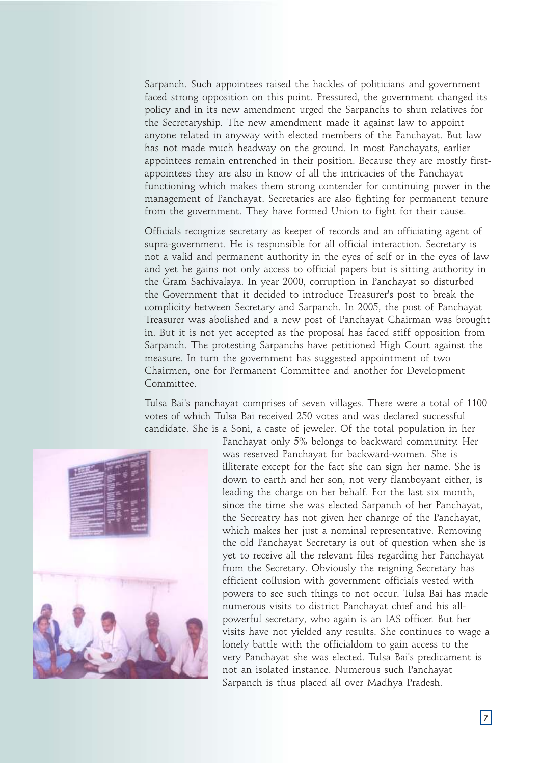Sarpanch. Such appointees raised the hackles of politicians and government faced strong opposition on this point. Pressured, the government changed its policy and in its new amendment urged the Sarpanchs to shun relatives for the Secretaryship. The new amendment made it against law to appoint anyone related in anyway with elected members of the Panchayat. But law has not made much headway on the ground. In most Panchayats, earlier appointees remain entrenched in their position. Because they are mostly firstappointees they are also in know of all the intricacies of the Panchayat functioning which makes them strong contender for continuing power in the management of Panchayat. Secretaries are also fighting for permanent tenure from the government. They have formed Union to fight for their cause.

Officials recognize secretary as keeper of records and an officiating agent of supra-government. He is responsible for all official interaction. Secretary is not a valid and permanent authority in the eyes of self or in the eyes of law and yet he gains not only access to official papers but is sitting authority in the Gram Sachivalaya. In year 2000, corruption in Panchayat so disturbed the Government that it decided to introduce Treasurer's post to break the complicity between Secretary and Sarpanch. In 2005, the post of Panchayat Treasurer was abolished and a new post of Panchayat Chairman was brought in. But it is not yet accepted as the proposal has faced stiff opposition from Sarpanch. The protesting Sarpanchs have petitioned High Court against the measure. In turn the government has suggested appointment of two Chairmen, one for Permanent Committee and another for Development Committee.

Tulsa Bai's panchayat comprises of seven villages. There were a total of 1100 votes of which Tulsa Bai received 250 votes and was declared successful candidate. She is a Soni, a caste of jeweler. Of the total population in her



Panchayat only 5% belongs to backward community. Her was reserved Panchayat for backward-women. She is illiterate except for the fact she can sign her name. She is down to earth and her son, not very flamboyant either, is leading the charge on her behalf. For the last six month, since the time she was elected Sarpanch of her Panchayat, the Secreatry has not given her chanrge of the Panchayat, which makes her just a nominal representative. Removing the old Panchayat Secretary is out of question when she is yet to receive all the relevant files regarding her Panchayat from the Secretary. Obviously the reigning Secretary has efficient collusion with government officials vested with powers to see such things to not occur. Tulsa Bai has made numerous visits to district Panchayat chief and his allpowerful secretary, who again is an IAS officer. But her visits have not yielded any results. She continues to wage a lonely battle with the officialdom to gain access to the very Panchayat she was elected. Tulsa Bai's predicament is not an isolated instance. Numerous such Panchayat Sarpanch is thus placed all over Madhya Pradesh.